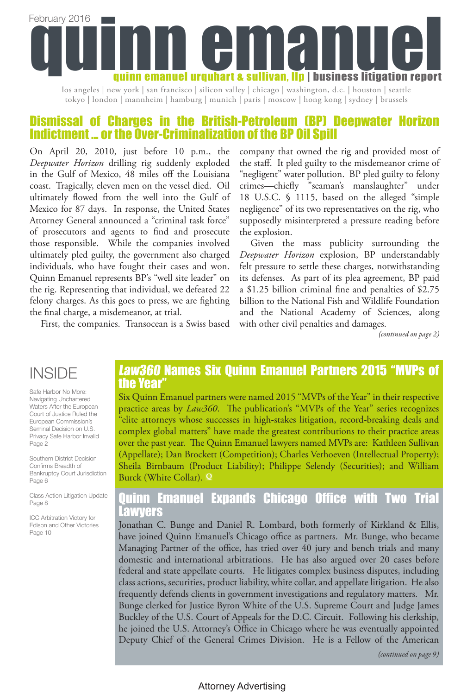

los angeles | new york | san francisco | silicon valley | chicago | washington, d.c. | houston | seattle tokyo | london | mannheim | hamburg | munich | paris | moscow | hong kong | sydney | brussels

# Dismissal of Charges in the British-Petroleum (BP) Deepwater Horizon Indictment … or the Over-Criminalization of the BP Oil Spill

On April 20, 2010, just before 10 p.m., the *Deepwater Horizon* drilling rig suddenly exploded in the Gulf of Mexico, 48 miles off the Louisiana coast. Tragically, eleven men on the vessel died. Oil ultimately flowed from the well into the Gulf of Mexico for 87 days. In response, the United States Attorney General announced a "criminal task force" of prosecutors and agents to find and prosecute those responsible. While the companies involved ultimately pled guilty, the government also charged individuals, who have fought their cases and won. Quinn Emanuel represents BP's "well site leader" on the rig. Representing that individual, we defeated 22 felony charges. As this goes to press, we are fighting the final charge, a misdemeanor, at trial.

First, the companies. Transocean is a Swiss based

company that owned the rig and provided most of the staff. It pled guilty to the misdemeanor crime of "negligent" water pollution. BP pled guilty to felony crimes—chiefly "seaman's manslaughter" under 18 U.S.C. § 1115, based on the alleged "simple negligence" of its two representatives on the rig, who supposedly misinterpreted a pressure reading before the explosion.

Given the mass publicity surrounding the *Deepwater Horizon* explosion, BP understandably felt pressure to settle these charges, notwithstanding its defenses. As part of its plea agreement, BP paid a \$1.25 billion criminal fine and penalties of \$2.75 billion to the National Fish and Wildlife Foundation and the National Academy of Sciences, along with other civil penalties and damages.

*(continued on page 2)*

# INSIDE

Safe Harbor No More: Navigating Unchartered Waters After the European Court of Justice Ruled the European Commission's Seminal Decision on U.S. Privacy Safe Harbor Invalid Page 2

Southern District Decision Confirms Breadth of Bankruptcy Court Jurisdiction Page 6

Class Action Litigation Update Page 8

ICC Arbitration Victory for Edison and Other Victories Page 10

# Law360 Names Six Quinn Emanuel Partners 2015 "MVPs of the Year

Six Quinn Emanuel partners were named 2015 "MVPs of the Year" in their respective practice areas by *Law360*. The publication's "MVPs of the Year" series recognizes "elite attorneys whose successes in high-stakes litigation, record-breaking deals and complex global matters" have made the greatest contributions to their practice areas over the past year. The Quinn Emanuel lawyers named MVPs are: Kathleen Sullivan (Appellate); Dan Brockett (Competition); Charles Verhoeven (Intellectual Property); Sheila Birnbaum (Product Liability); Philippe Selendy (Securities); and William Burck (White Collar). **Q**

# Quinn Emanuel Expands Chicago Office with Two Trial Lawyers

Jonathan C. Bunge and Daniel R. Lombard, both formerly of Kirkland & Ellis, have joined Quinn Emanuel's Chicago office as partners. Mr. Bunge, who became Managing Partner of the office, has tried over 40 jury and bench trials and many domestic and international arbitrations. He has also argued over 20 cases before federal and state appellate courts. He litigates complex business disputes, including class actions, securities, product liability, white collar, and appellate litigation. He also frequently defends clients in government investigations and regulatory matters. Mr. Bunge clerked for Justice Byron White of the U.S. Supreme Court and Judge James Buckley of the U.S. Court of Appeals for the D.C. Circuit. Following his clerkship, he joined the U.S. Attorney's Office in Chicago where he was eventually appointed Deputy Chief of the General Crimes Division. He is a Fellow of the American

*(continued on page 9)*

# Attorney Advertising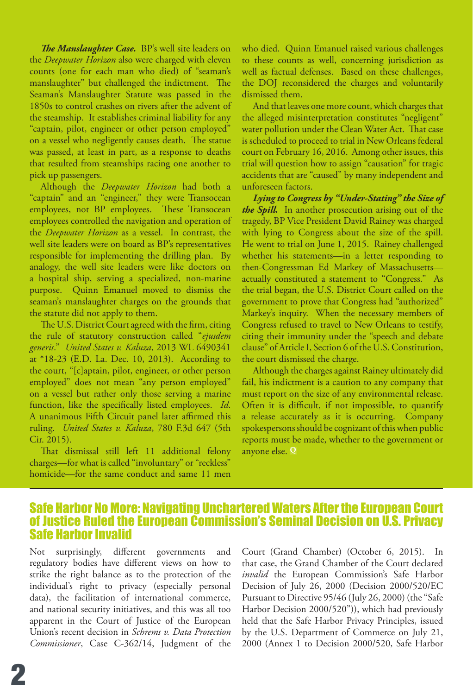*The Manslaughter Case.* BP's well site leaders on the *Deepwater Horizon* also were charged with eleven counts (one for each man who died) of "seaman's manslaughter" but challenged the indictment. The Seaman's Manslaughter Statute was passed in the 1850s to control crashes on rivers after the advent of the steamship. It establishes criminal liability for any "captain, pilot, engineer or other person employed" on a vessel who negligently causes death. The statue was passed, at least in part, as a response to deaths that resulted from steamships racing one another to pick up passengers.

Although the *Deepwater Horizon* had both a "captain" and an "engineer," they were Transocean employees, not BP employees. These Transocean employees controlled the navigation and operation of the *Deepwater Horizon* as a vessel. In contrast, the well site leaders were on board as BP's representatives responsible for implementing the drilling plan. By analogy, the well site leaders were like doctors on a hospital ship, serving a specialized, non-marine purpose. Quinn Emanuel moved to dismiss the seaman's manslaughter charges on the grounds that the statute did not apply to them.

The U.S. District Court agreed with the firm, citing the rule of statutory construction called "*ejusdem generis*." *United States v. Kaluza*, 2013 WL 6490341 at \*18-23 (E.D. La. Dec. 10, 2013). According to the court, "[c]aptain, pilot, engineer, or other person employed" does not mean "any person employed" on a vessel but rather only those serving a marine function, like the specifically listed employees. *Id*. A unanimous Fifth Circuit panel later affirmed this ruling. *United States v. Kaluza*, 780 F.3d 647 (5th Cir. 2015).

That dismissal still left 11 additional felony charges—for what is called "involuntary" or "reckless" homicide—for the same conduct and same 11 men who died. Quinn Emanuel raised various challenges to these counts as well, concerning jurisdiction as well as factual defenses. Based on these challenges, the DOJ reconsidered the charges and voluntarily dismissed them.

And that leaves one more count, which charges that the alleged misinterpretation constitutes "negligent" water pollution under the Clean Water Act. That case is scheduled to proceed to trial in New Orleans federal court on February 16, 2016. Among other issues, this trial will question how to assign "causation" for tragic accidents that are "caused" by many independent and unforeseen factors.

*Lying to Congress by "Under-Stating" the Size of the Spill.* In another prosecution arising out of the tragedy, BP Vice President David Rainey was charged with lying to Congress about the size of the spill. He went to trial on June 1, 2015. Rainey challenged whether his statements—in a letter responding to then-Congressman Ed Markey of Massachusetts actually constituted a statement to "Congress." As the trial began, the U.S. District Court called on the government to prove that Congress had "authorized" Markey's inquiry. When the necessary members of Congress refused to travel to New Orleans to testify, citing their immunity under the "speech and debate clause" of Article I, Section 6 of the U.S. Constitution, the court dismissed the charge.

Although the charges against Rainey ultimately did fail, his indictment is a caution to any company that must report on the size of any environmental release. Often it is difficult, if not impossible, to quantify a release accurately as it is occurring. Company spokespersons should be cognizant of this when public reports must be made, whether to the government or anyone else. **Q**

# Safe Harbor No More: Navigating Unchartered Waters After the European Court of Justice Ruled the European Commission's Seminal Decision on U.S. Privacy Safe Harbor Invalid

Not surprisingly, different governments and regulatory bodies have different views on how to strike the right balance as to the protection of the individual's right to privacy (especially personal data), the facilitation of international commerce, and national security initiatives, and this was all too apparent in the Court of Justice of the European Union's recent decision in *Schrems v. Data Protection Commissioner*, Case C-362/14, Judgment of the Court (Grand Chamber) (October 6, 2015). In that case, the Grand Chamber of the Court declared *invalid* the European Commission's Safe Harbor Decision of July 26, 2000 (Decision 2000/520/EC Pursuant to Directive 95/46 (July 26, 2000) (the "Safe Harbor Decision 2000/520")), which had previously held that the Safe Harbor Privacy Principles, issued by the U.S. Department of Commerce on July 21, 2000 (Annex 1 to Decision 2000/520, Safe Harbor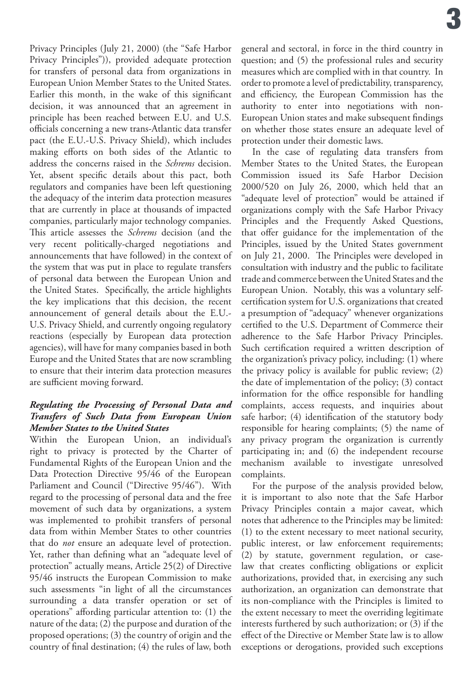Privacy Principles (July 21, 2000) (the "Safe Harbor Privacy Principles")), provided adequate protection for transfers of personal data from organizations in European Union Member States to the United States. Earlier this month, in the wake of this significant decision, it was announced that an agreement in principle has been reached between E.U. and U.S. officials concerning a new trans-Atlantic data transfer pact (the E.U.-U.S. Privacy Shield), which includes making efforts on both sides of the Atlantic to address the concerns raised in the *Schrems* decision. Yet, absent specific details about this pact, both regulators and companies have been left questioning the adequacy of the interim data protection measures that are currently in place at thousands of impacted companies, particularly major technology companies. This article assesses the *Schrems* decision (and the very recent politically-charged negotiations and announcements that have followed) in the context of the system that was put in place to regulate transfers of personal data between the European Union and the United States. Specifically, the article highlights the key implications that this decision, the recent announcement of general details about the E.U.- U.S. Privacy Shield, and currently ongoing regulatory reactions (especially by European data protection agencies), will have for many companies based in both Europe and the United States that are now scrambling to ensure that their interim data protection measures are sufficient moving forward.

## *Regulating the Processing of Personal Data and Transfers of Such Data from European Union Member States to the United States*

Within the European Union, an individual's right to privacy is protected by the Charter of Fundamental Rights of the European Union and the Data Protection Directive 95/46 of the European Parliament and Council ("Directive 95/46"). With regard to the processing of personal data and the free movement of such data by organizations, a system was implemented to prohibit transfers of personal data from within Member States to other countries that do *not* ensure an adequate level of protection. Yet, rather than defining what an "adequate level of protection" actually means, Article 25(2) of Directive 95/46 instructs the European Commission to make such assessments "in light of all the circumstances surrounding a data transfer operation or set of operations" affording particular attention to: (1) the nature of the data; (2) the purpose and duration of the proposed operations; (3) the country of origin and the country of final destination; (4) the rules of law, both

general and sectoral, in force in the third country in question; and (5) the professional rules and security measures which are complied with in that country. In order to promote a level of predictability, transparency, and efficiency, the European Commission has the authority to enter into negotiations with non-European Union states and make subsequent findings on whether those states ensure an adequate level of protection under their domestic laws.

In the case of regulating data transfers from Member States to the United States, the European Commission issued its Safe Harbor Decision 2000/520 on July 26, 2000, which held that an "adequate level of protection" would be attained if organizations comply with the Safe Harbor Privacy Principles and the Frequently Asked Questions, that offer guidance for the implementation of the Principles, issued by the United States government on July 21, 2000. The Principles were developed in consultation with industry and the public to facilitate trade and commerce between the United States and the European Union. Notably, this was a voluntary selfcertification system for U.S. organizations that created a presumption of "adequacy" whenever organizations certified to the U.S. Department of Commerce their adherence to the Safe Harbor Privacy Principles. Such certification required a written description of the organization's privacy policy, including: (1) where the privacy policy is available for public review; (2) the date of implementation of the policy; (3) contact information for the office responsible for handling complaints, access requests, and inquiries about safe harbor; (4) identification of the statutory body responsible for hearing complaints; (5) the name of any privacy program the organization is currently participating in; and (6) the independent recourse mechanism available to investigate unresolved complaints.

For the purpose of the analysis provided below, it is important to also note that the Safe Harbor Privacy Principles contain a major caveat, which notes that adherence to the Principles may be limited: (1) to the extent necessary to meet national security, public interest, or law enforcement requirements; (2) by statute, government regulation, or caselaw that creates conflicting obligations or explicit authorizations, provided that, in exercising any such authorization, an organization can demonstrate that its non-compliance with the Principles is limited to the extent necessary to meet the overriding legitimate interests furthered by such authorization; or (3) if the effect of the Directive or Member State law is to allow exceptions or derogations, provided such exceptions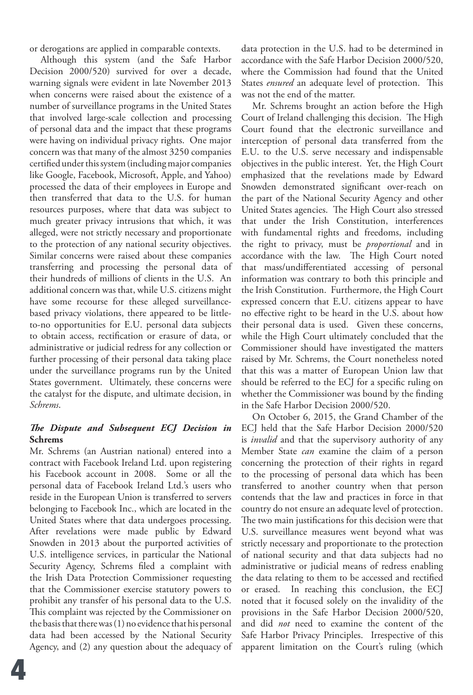or derogations are applied in comparable contexts.

Although this system (and the Safe Harbor Decision 2000/520) survived for over a decade, warning signals were evident in late November 2013 when concerns were raised about the existence of a number of surveillance programs in the United States that involved large-scale collection and processing of personal data and the impact that these programs were having on individual privacy rights. One major concern was that many of the almost 3250 companies certified under this system (including major companies like Google, Facebook, Microsoft, Apple, and Yahoo) processed the data of their employees in Europe and then transferred that data to the U.S. for human resources purposes, where that data was subject to much greater privacy intrusions that which, it was alleged, were not strictly necessary and proportionate to the protection of any national security objectives. Similar concerns were raised about these companies transferring and processing the personal data of their hundreds of millions of clients in the U.S. An additional concern was that, while U.S. citizens might have some recourse for these alleged surveillancebased privacy violations, there appeared to be littleto-no opportunities for E.U. personal data subjects to obtain access, rectification or erasure of data, or administrative or judicial redress for any collection or further processing of their personal data taking place under the surveillance programs run by the United States government. Ultimately, these concerns were the catalyst for the dispute, and ultimate decision, in *Schrems*.

# *The Dispute and Subsequent ECJ Decision in*  **Schrems**

Mr. Schrems (an Austrian national) entered into a contract with Facebook Ireland Ltd. upon registering his Facebook account in 2008. Some or all the personal data of Facebook Ireland Ltd.'s users who reside in the European Union is transferred to servers belonging to Facebook Inc., which are located in the United States where that data undergoes processing. After revelations were made public by Edward Snowden in 2013 about the purported activities of U.S. intelligence services, in particular the National Security Agency, Schrems filed a complaint with the Irish Data Protection Commissioner requesting that the Commissioner exercise statutory powers to prohibit any transfer of his personal data to the U.S. This complaint was rejected by the Commissioner on the basis that there was (1) no evidence that his personal data had been accessed by the National Security Agency, and (2) any question about the adequacy of

data protection in the U.S. had to be determined in accordance with the Safe Harbor Decision 2000/520, where the Commission had found that the United States *ensured* an adequate level of protection. This was not the end of the matter.

Mr. Schrems brought an action before the High Court of Ireland challenging this decision. The High Court found that the electronic surveillance and interception of personal data transferred from the E.U. to the U.S. serve necessary and indispensable objectives in the public interest. Yet, the High Court emphasized that the revelations made by Edward Snowden demonstrated significant over-reach on the part of the National Security Agency and other United States agencies. The High Court also stressed that under the Irish Constitution, interferences with fundamental rights and freedoms, including the right to privacy, must be *proportional* and in accordance with the law. The High Court noted that mass/undifferentiated accessing of personal information was contrary to both this principle and the Irish Constitution. Furthermore, the High Court expressed concern that E.U. citizens appear to have no effective right to be heard in the U.S. about how their personal data is used. Given these concerns, while the High Court ultimately concluded that the Commissioner should have investigated the matters raised by Mr. Schrems, the Court nonetheless noted that this was a matter of European Union law that should be referred to the ECJ for a specific ruling on whether the Commissioner was bound by the finding in the Safe Harbor Decision 2000/520.

On October 6, 2015, the Grand Chamber of the ECJ held that the Safe Harbor Decision 2000/520 is *invalid* and that the supervisory authority of any Member State *can* examine the claim of a person concerning the protection of their rights in regard to the processing of personal data which has been transferred to another country when that person contends that the law and practices in force in that country do not ensure an adequate level of protection. The two main justifications for this decision were that U.S. surveillance measures went beyond what was strictly necessary and proportionate to the protection of national security and that data subjects had no administrative or judicial means of redress enabling the data relating to them to be accessed and rectified or erased. In reaching this conclusion, the ECJ noted that it focused solely on the invalidity of the provisions in the Safe Harbor Decision 2000/520, and did *not* need to examine the content of the Safe Harbor Privacy Principles. Irrespective of this apparent limitation on the Court's ruling (which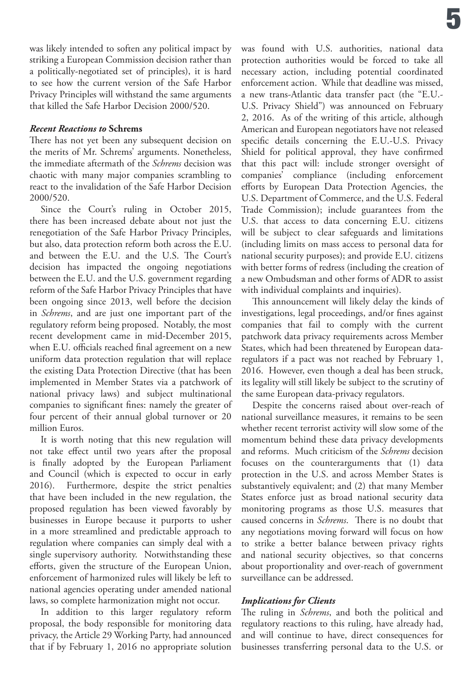was likely intended to soften any political impact by striking a European Commission decision rather than a politically-negotiated set of principles), it is hard to see how the current version of the Safe Harbor Privacy Principles will withstand the same arguments that killed the Safe Harbor Decision 2000/520.

## *Recent Reactions to* **Schrems**

There has not yet been any subsequent decision on the merits of Mr. Schrems' arguments. Nonetheless, the immediate aftermath of the *Schrems* decision was chaotic with many major companies scrambling to react to the invalidation of the Safe Harbor Decision 2000/520.

Since the Court's ruling in October 2015, there has been increased debate about not just the renegotiation of the Safe Harbor Privacy Principles, but also, data protection reform both across the E.U. and between the E.U. and the U.S. The Court's decision has impacted the ongoing negotiations between the E.U. and the U.S. government regarding reform of the Safe Harbor Privacy Principles that have been ongoing since 2013, well before the decision in *Schrems*, and are just one important part of the regulatory reform being proposed. Notably, the most recent development came in mid-December 2015, when E.U. officials reached final agreement on a new uniform data protection regulation that will replace the existing Data Protection Directive (that has been implemented in Member States via a patchwork of national privacy laws) and subject multinational companies to significant fines: namely the greater of four percent of their annual global turnover or 20 million Euros.

It is worth noting that this new regulation will not take effect until two years after the proposal is finally adopted by the European Parliament and Council (which is expected to occur in early 2016). Furthermore, despite the strict penalties that have been included in the new regulation, the proposed regulation has been viewed favorably by businesses in Europe because it purports to usher in a more streamlined and predictable approach to regulation where companies can simply deal with a single supervisory authority. Notwithstanding these efforts, given the structure of the European Union, enforcement of harmonized rules will likely be left to national agencies operating under amended national laws, so complete harmonization might not occur.

In addition to this larger regulatory reform proposal, the body responsible for monitoring data privacy, the Article 29 Working Party, had announced that if by February 1, 2016 no appropriate solution was found with U.S. authorities, national data protection authorities would be forced to take all necessary action, including potential coordinated enforcement action. While that deadline was missed, a new trans-Atlantic data transfer pact (the "E.U.- U.S. Privacy Shield") was announced on February 2, 2016. As of the writing of this article, although American and European negotiators have not released specific details concerning the E.U.-U.S. Privacy Shield for political approval, they have confirmed that this pact will: include stronger oversight of companies' compliance (including enforcement efforts by European Data Protection Agencies, the U.S. Department of Commerce, and the U.S. Federal Trade Commission); include guarantees from the U.S. that access to data concerning E.U. citizens will be subject to clear safeguards and limitations (including limits on mass access to personal data for national security purposes); and provide E.U. citizens with better forms of redress (including the creation of a new Ombudsman and other forms of ADR to assist with individual complaints and inquiries).

This announcement will likely delay the kinds of investigations, legal proceedings, and/or fines against companies that fail to comply with the current patchwork data privacy requirements across Member States, which had been threatened by European dataregulators if a pact was not reached by February 1, 2016. However, even though a deal has been struck, its legality will still likely be subject to the scrutiny of the same European data-privacy regulators.

Despite the concerns raised about over-reach of national surveillance measures, it remains to be seen whether recent terrorist activity will slow some of the momentum behind these data privacy developments and reforms. Much criticism of the *Schrems* decision focuses on the counterarguments that (1) data protection in the U.S. and across Member States is substantively equivalent; and (2) that many Member States enforce just as broad national security data monitoring programs as those U.S. measures that caused concerns in *Schrems*. There is no doubt that any negotiations moving forward will focus on how to strike a better balance between privacy rights and national security objectives, so that concerns about proportionality and over-reach of government surveillance can be addressed.

# *Implications for Clients*

The ruling in *Schrems*, and both the political and regulatory reactions to this ruling, have already had, and will continue to have, direct consequences for businesses transferring personal data to the U.S. or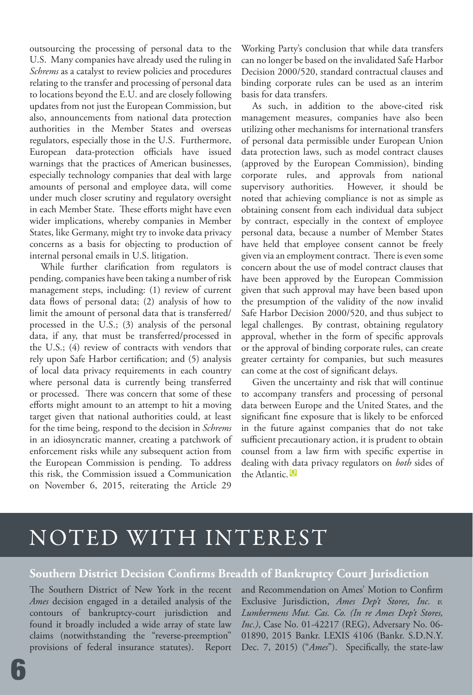outsourcing the processing of personal data to the U.S. Many companies have already used the ruling in *Schrems* as a catalyst to review policies and procedures relating to the transfer and processing of personal data to locations beyond the E.U. and are closely following updates from not just the European Commission, but also, announcements from national data protection authorities in the Member States and overseas regulators, especially those in the U.S. Furthermore, European data-protection officials have issued warnings that the practices of American businesses, especially technology companies that deal with large amounts of personal and employee data, will come under much closer scrutiny and regulatory oversight in each Member State. These efforts might have even wider implications, whereby companies in Member States, like Germany, might try to invoke data privacy concerns as a basis for objecting to production of internal personal emails in U.S. litigation.

While further clarification from regulators is pending, companies have been taking a number of risk management steps, including: (1) review of current data flows of personal data; (2) analysis of how to limit the amount of personal data that is transferred/ processed in the U.S.; (3) analysis of the personal data, if any, that must be transferred/processed in the U.S.; (4) review of contracts with vendors that rely upon Safe Harbor certification; and (5) analysis of local data privacy requirements in each country where personal data is currently being transferred or processed. There was concern that some of these efforts might amount to an attempt to hit a moving target given that national authorities could, at least for the time being, respond to the decision in *Schrems* in an idiosyncratic manner, creating a patchwork of enforcement risks while any subsequent action from the European Commission is pending. To address this risk, the Commission issued a Communication on November 6, 2015, reiterating the Article 29

Working Party's conclusion that while data transfers can no longer be based on the invalidated Safe Harbor Decision 2000/520, standard contractual clauses and binding corporate rules can be used as an interim basis for data transfers.

As such, in addition to the above-cited risk management measures, companies have also been utilizing other mechanisms for international transfers of personal data permissible under European Union data protection laws, such as model contract clauses (approved by the European Commission), binding corporate rules, and approvals from national supervisory authorities. However, it should be noted that achieving compliance is not as simple as obtaining consent from each individual data subject by contract, especially in the context of employee personal data, because a number of Member States have held that employee consent cannot be freely given via an employment contract. There is even some concern about the use of model contract clauses that have been approved by the European Commission given that such approval may have been based upon the presumption of the validity of the now invalid Safe Harbor Decision 2000/520, and thus subject to legal challenges. By contrast, obtaining regulatory approval, whether in the form of specific approvals or the approval of binding corporate rules, can create greater certainty for companies, but such measures can come at the cost of significant delays.

Given the uncertainty and risk that will continue to accompany transfers and processing of personal data between Europe and the United States, and the significant fine exposure that is likely to be enforced in the future against companies that do not take sufficient precautionary action, it is prudent to obtain counsel from a law firm with specific expertise in dealing with data privacy regulators on *both* sides of the Atlantic. **<sup>Q</sup>**

# NOTED WITH INTEREST

# **Southern District Decision Confirms Breadth of Bankruptcy Court Jurisdiction**

The Southern District of New York in the recent *Ames* decision engaged in a detailed analysis of the contours of bankruptcy-court jurisdiction and found it broadly included a wide array of state law claims (notwithstanding the "reverse-preemption" provisions of federal insurance statutes). Report

and Recommendation on Ames' Motion to Confirm Exclusive Jurisdiction, *Ames Dep't Stores, Inc. v. Lumbermens Mut. Cas. Co. (In re Ames Dep't Stores, Inc.)*, Case No. 01-42217 (REG), Adversary No. 06- 01890, 2015 Bankr. LEXIS 4106 (Bankr. S.D.N.Y. Dec. 7, 2015) ("*Ames*"). Specifically, the state-law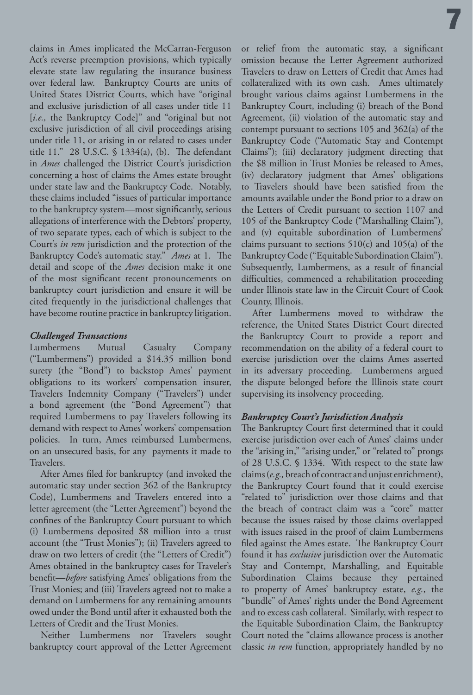claims in Ames implicated the McCarran-Ferguson Act's reverse preemption provisions, which typically elevate state law regulating the insurance business over federal law. Bankruptcy Courts are units of United States District Courts, which have "original and exclusive jurisdiction of all cases under title 11 [*i.e.,* the Bankruptcy Code]" and "original but not exclusive jurisdiction of all civil proceedings arising under title 11, or arising in or related to cases under title 11." 28 U.S.C. § 1334(a), (b). The defendant in *Ames* challenged the District Court's jurisdiction concerning a host of claims the Ames estate brought under state law and the Bankruptcy Code. Notably, these claims included "issues of particular importance to the bankruptcy system—most significantly, serious allegations of interference with the Debtors' property, of two separate types, each of which is subject to the Court's *in rem* jurisdiction and the protection of the Bankruptcy Code's automatic stay." *Ames* at 1. The detail and scope of the *Ames* decision make it one of the most significant recent pronouncements on bankruptcy court jurisdiction and ensure it will be cited frequently in the jurisdictional challenges that have become routine practice in bankruptcy litigation.

## *Challenged Transactions*

Lumbermens Mutual Casualty Company ("Lumbermens") provided a \$14.35 million bond surety (the "Bond") to backstop Ames' payment obligations to its workers' compensation insurer, Travelers Indemnity Company ("Travelers") under a bond agreement (the "Bond Agreement") that required Lumbermens to pay Travelers following its demand with respect to Ames' workers' compensation policies. In turn, Ames reimbursed Lumbermens, on an unsecured basis, for any payments it made to Travelers.

After Ames filed for bankruptcy (and invoked the automatic stay under section 362 of the Bankruptcy Code), Lumbermens and Travelers entered into a letter agreement (the "Letter Agreement") beyond the confines of the Bankruptcy Court pursuant to which (i) Lumbermens deposited \$8 million into a trust account (the "Trust Monies"); (ii) Travelers agreed to draw on two letters of credit (the "Letters of Credit") Ames obtained in the bankruptcy cases for Traveler's benefit—*before* satisfying Ames' obligations from the Trust Monies; and (iii) Travelers agreed not to make a demand on Lumbermens for any remaining amounts owed under the Bond until after it exhausted both the Letters of Credit and the Trust Monies.

Neither Lumbermens nor Travelers sought bankruptcy court approval of the Letter Agreement

or relief from the automatic stay, a significant omission because the Letter Agreement authorized Travelers to draw on Letters of Credit that Ames had collateralized with its own cash. Ames ultimately brought various claims against Lumbermens in the Bankruptcy Court, including (i) breach of the Bond Agreement, (ii) violation of the automatic stay and contempt pursuant to sections 105 and 362(a) of the Bankruptcy Code ("Automatic Stay and Contempt Claims"); (iii) declaratory judgment directing that the \$8 million in Trust Monies be released to Ames, (iv) declaratory judgment that Ames' obligations to Travelers should have been satisfied from the amounts available under the Bond prior to a draw on the Letters of Credit pursuant to section 1107 and 105 of the Bankruptcy Code ("Marshalling Claim"), and (v) equitable subordination of Lumbermens' claims pursuant to sections  $510(c)$  and  $105(a)$  of the Bankruptcy Code ("Equitable Subordination Claim"). Subsequently, Lumbermens, as a result of financial difficulties, commenced a rehabilitation proceeding under Illinois state law in the Circuit Court of Cook County, Illinois.

7

After Lumbermens moved to withdraw the reference, the United States District Court directed the Bankruptcy Court to provide a report and recommendation on the ability of a federal court to exercise jurisdiction over the claims Ames asserted in its adversary proceeding. Lumbermens argued the dispute belonged before the Illinois state court supervising its insolvency proceeding.

# *Bankruptcy Court's Jurisdiction Analysis*

The Bankruptcy Court first determined that it could exercise jurisdiction over each of Ames' claims under the "arising in," "arising under," or "related to" prongs of 28 U.S.C. § 1334. With respect to the state law claims (*e.g.,* breach of contract and unjust enrichment), the Bankruptcy Court found that it could exercise "related to" jurisdiction over those claims and that the breach of contract claim was a "core" matter because the issues raised by those claims overlapped with issues raised in the proof of claim Lumbermens filed against the Ames estate. The Bankruptcy Court found it has *exclusive* jurisdiction over the Automatic Stay and Contempt, Marshalling, and Equitable Subordination Claims because they pertained to property of Ames' bankruptcy estate, *e.g.*, the "bundle" of Ames' rights under the Bond Agreement and to excess cash collateral. Similarly, with respect to the Equitable Subordination Claim, the Bankruptcy Court noted the "claims allowance process is another classic *in rem* function, appropriately handled by no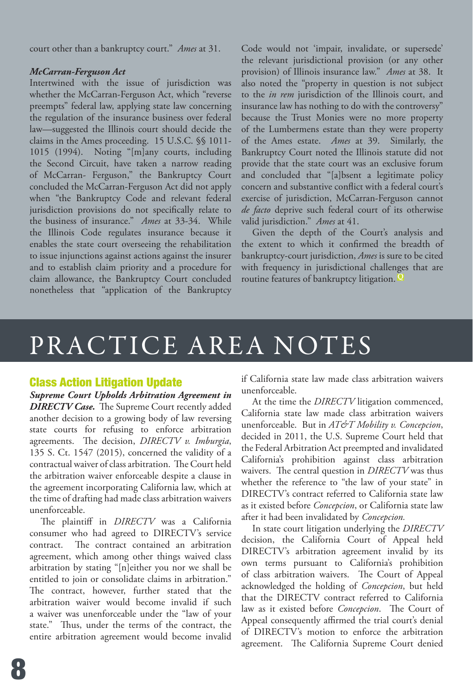court other than a bankruptcy court." *Ames* at 31.

#### *McCarran-Ferguson Act*

Intertwined with the issue of jurisdiction was whether the McCarran-Ferguson Act, which "reverse preempts" federal law, applying state law concerning the regulation of the insurance business over federal law—suggested the Illinois court should decide the claims in the Ames proceeding. 15 U.S.C. §§ 1011- 1015 (1994). Noting "[m]any courts, including the Second Circuit, have taken a narrow reading of McCarran- Ferguson," the Bankruptcy Court concluded the McCarran-Ferguson Act did not apply when "the Bankruptcy Code and relevant federal jurisdiction provisions do not specifically relate to the business of insurance." *Ames* at 33-34. While the Illinois Code regulates insurance because it enables the state court overseeing the rehabilitation to issue injunctions against actions against the insurer and to establish claim priority and a procedure for claim allowance, the Bankruptcy Court concluded nonetheless that "application of the Bankruptcy

Code would not 'impair, invalidate, or supersede' the relevant jurisdictional provision (or any other provision) of Illinois insurance law." *Ames* at 38. It also noted the "property in question is not subject to the *in rem* jurisdiction of the Illinois court, and insurance law has nothing to do with the controversy" because the Trust Monies were no more property of the Lumbermens estate than they were property of the Ames estate. *Ames* at 39. Similarly, the Bankruptcy Court noted the Illinois statute did not provide that the state court was an exclusive forum and concluded that "[a]bsent a legitimate policy concern and substantive conflict with a federal court's exercise of jurisdiction, McCarran-Ferguson cannot *de facto* deprive such federal court of its otherwise valid jurisdiction." *Ames* at 41.

Given the depth of the Court's analysis and the extent to which it confirmed the breadth of bankruptcy-court jurisdiction, *Ames* is sure to be cited with frequency in jurisdictional challenges that are routine features of bankruptcy litigation. **<sup>Q</sup>**

# PRACTICE AREA NOTES

# Class Action Litigation Update

*Supreme Court Upholds Arbitration Agreement in DIRECTV Case.*The Supreme Court recently added another decision to a growing body of law reversing state courts for refusing to enforce arbitration agreements. The decision, *DIRECTV v. Imburgia*, 135 S. Ct. 1547 (2015), concerned the validity of a contractual waiver of class arbitration. The Court held the arbitration waiver enforceable despite a clause in the agreement incorporating California law, which at the time of drafting had made class arbitration waivers unenforceable.

The plaintiff in *DIRECTV* was a California consumer who had agreed to DIRECTV's service contract. The contract contained an arbitration agreement, which among other things waived class arbitration by stating "[n]either you nor we shall be entitled to join or consolidate claims in arbitration." The contract, however, further stated that the arbitration waiver would become invalid if such a waiver was unenforceable under the "law of your state." Thus, under the terms of the contract, the entire arbitration agreement would become invalid

if California state law made class arbitration waivers unenforceable.

At the time the *DIRECTV* litigation commenced, California state law made class arbitration waivers unenforceable. But in *AT&T Mobility v. Concepcion*, decided in 2011, the U.S. Supreme Court held that the Federal Arbitration Act preempted and invalidated California's prohibition against class arbitration waivers. The central question in *DIRECTV* was thus whether the reference to "the law of your state" in DIRECTV's contract referred to California state law as it existed before *Concepcion*, or California state law after it had been invalidated by *Concepcion.*

In state court litigation underlying the *DIRECTV*  decision, the California Court of Appeal held DIRECTV's arbitration agreement invalid by its own terms pursuant to California's prohibition of class arbitration waivers. The Court of Appeal acknowledged the holding of *Concepcion*, but held that the DIRECTV contract referred to California law as it existed before *Concepcion*. The Court of Appeal consequently affirmed the trial court's denial of DIRECTV's motion to enforce the arbitration agreement. The California Supreme Court denied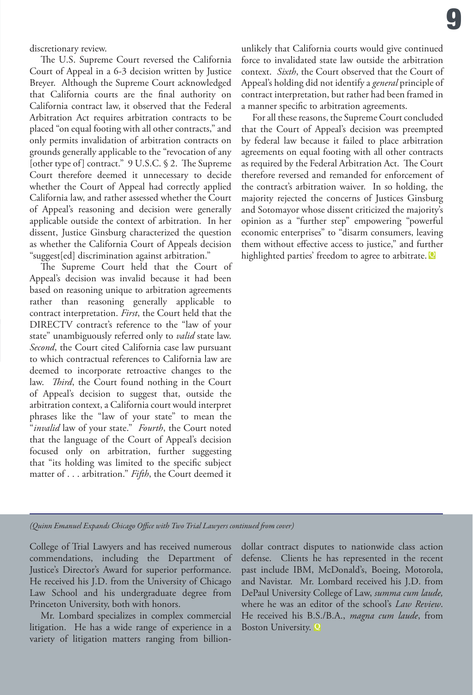discretionary review.

The U.S. Supreme Court reversed the California Court of Appeal in a 6-3 decision written by Justice Breyer. Although the Supreme Court acknowledged that California courts are the final authority on California contract law, it observed that the Federal Arbitration Act requires arbitration contracts to be placed "on equal footing with all other contracts," and only permits invalidation of arbitration contracts on grounds generally applicable to the "revocation of any [other type of] contract."9 U.S.C. § 2. The Supreme Court therefore deemed it unnecessary to decide whether the Court of Appeal had correctly applied California law, and rather assessed whether the Court of Appeal's reasoning and decision were generally applicable outside the context of arbitration. In her dissent, Justice Ginsburg characterized the question as whether the California Court of Appeals decision "suggest[ed] discrimination against arbitration."

The Supreme Court held that the Court of Appeal's decision was invalid because it had been based on reasoning unique to arbitration agreements rather than reasoning generally applicable to contract interpretation. *First*, the Court held that the DIRECTV contract's reference to the "law of your state" unambiguously referred only to *valid* state law. *Second*, the Court cited California case law pursuant to which contractual references to California law are deemed to incorporate retroactive changes to the law. *Third*, the Court found nothing in the Court of Appeal's decision to suggest that, outside the arbitration context, a California court would interpret phrases like the "law of your state" to mean the "*invalid* law of your state." *Fourth*, the Court noted that the language of the Court of Appeal's decision focused only on arbitration, further suggesting that "its holding was limited to the specific subject matter of . . . arbitration." *Fifth*, the Court deemed it

unlikely that California courts would give continued force to invalidated state law outside the arbitration context. *Sixth*, the Court observed that the Court of Appeal's holding did not identify a *general* principle of contract interpretation, but rather had been framed in a manner specific to arbitration agreements.

For all these reasons, the Supreme Court concluded that the Court of Appeal's decision was preempted by federal law because it failed to place arbitration agreements on equal footing with all other contracts as required by the Federal Arbitration Act. The Court therefore reversed and remanded for enforcement of the contract's arbitration waiver. In so holding, the majority rejected the concerns of Justices Ginsburg and Sotomayor whose dissent criticized the majority's opinion as a "further step" empowering "powerful economic enterprises" to "disarm consumers, leaving them without effective access to justice," and further highlighted parties' freedom to agree to arbitrate. **Q**

*(Quinn Emanuel Expands Chicago Office with Two Trial Lawyers continued from cover)* 

College of Trial Lawyers and has received numerous commendations, including the Department of Justice's Director's Award for superior performance. He received his J.D. from the University of Chicago Law School and his undergraduate degree from Princeton University, both with honors.

Mr. Lombard specializes in complex commercial litigation. He has a wide range of experience in a variety of litigation matters ranging from billiondollar contract disputes to nationwide class action defense. Clients he has represented in the recent past include IBM, McDonald's, Boeing, Motorola, and Navistar. Mr. Lombard received his J.D. from DePaul University College of Law, *summa cum laude,*  where he was an editor of the school's *Law Review*. He received his B.S./B.A., *magna cum laude*, from Boston University. **Q**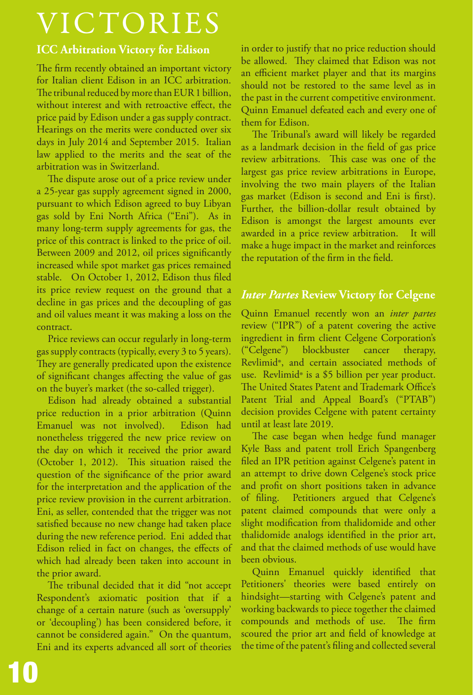# VICTORIES

# **ICC Arbitration Victory for Edison**

The firm recently obtained an important victory for Italian client Edison in an ICC arbitration. The tribunal reduced by more than EUR 1 billion, without interest and with retroactive effect, the price paid by Edison under a gas supply contract. Hearings on the merits were conducted over six days in July 2014 and September 2015. Italian law applied to the merits and the seat of the arbitration was in Switzerland.

The dispute arose out of a price review under a 25-year gas supply agreement signed in 2000, pursuant to which Edison agreed to buy Libyan gas sold by Eni North Africa ("Eni"). As in many long-term supply agreements for gas, the price of this contract is linked to the price of oil. Between 2009 and 2012, oil prices significantly increased while spot market gas prices remained stable. On October 1, 2012, Edison thus filed its price review request on the ground that a decline in gas prices and the decoupling of gas and oil values meant it was making a loss on the contract.

Price reviews can occur regularly in long-term gas supply contracts (typically, every 3 to 5 years). They are generally predicated upon the existence of significant changes affecting the value of gas on the buyer's market (the so-called trigger).

Edison had already obtained a substantial price reduction in a prior arbitration (Quinn Emanuel was not involved). Edison had nonetheless triggered the new price review on the day on which it received the prior award (October 1, 2012). This situation raised the question of the significance of the prior award for the interpretation and the application of the price review provision in the current arbitration. Eni, as seller, contended that the trigger was not satisfied because no new change had taken place during the new reference period. Eni added that Edison relied in fact on changes, the effects of which had already been taken into account in the prior award.

The tribunal decided that it did "not accept Respondent's axiomatic position that if a change of a certain nature (such as 'oversupply' or 'decoupling') has been considered before, it cannot be considered again." On the quantum, Eni and its experts advanced all sort of theories in order to justify that no price reduction should be allowed. They claimed that Edison was not an efficient market player and that its margins should not be restored to the same level as in the past in the current competitive environment. Quinn Emanuel defeated each and every one of them for Edison.

The Tribunal's award will likely be regarded as a landmark decision in the field of gas price review arbitrations. This case was one of the largest gas price review arbitrations in Europe, involving the two main players of the Italian gas market (Edison is second and Eni is first). Further, the billion-dollar result obtained by Edison is amongst the largest amounts ever awarded in a price review arbitration. It will make a huge impact in the market and reinforces the reputation of the firm in the field.

# *Inter Partes* **Review Victory for Celgene**

Quinn Emanuel recently won an *inter partes*  review ("IPR") of a patent covering the active ingredient in firm client Celgene Corporation's ("Celgene") blockbuster cancer therapy, Revlimid®, and certain associated methods of use. Revlimid<sup>®</sup> is a \$5 billion per year product. The United States Patent and Trademark Office's Patent Trial and Appeal Board's ("PTAB") decision provides Celgene with patent certainty until at least late 2019.

The case began when hedge fund manager Kyle Bass and patent troll Erich Spangenberg filed an IPR petition against Celgene's patent in an attempt to drive down Celgene's stock price and profit on short positions taken in advance of filing. Petitioners argued that Celgene's patent claimed compounds that were only a slight modification from thalidomide and other thalidomide analogs identified in the prior art, and that the claimed methods of use would have been obvious.

Quinn Emanuel quickly identified that Petitioners' theories were based entirely on hindsight—starting with Celgene's patent and working backwards to piece together the claimed compounds and methods of use. The firm scoured the prior art and field of knowledge at the time of the patent's filing and collected several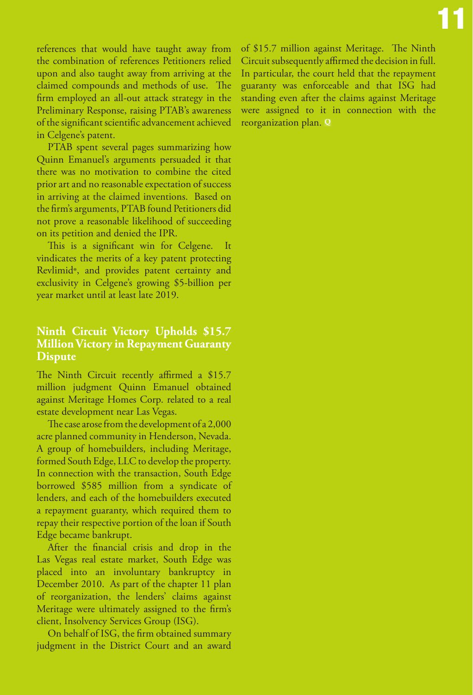references that would have taught away from the combination of references Petitioners relied upon and also taught away from arriving at the claimed compounds and methods of use. The firm employed an all-out attack strategy in the Preliminary Response, raising PTAB's awareness of the significant scientific advancement achieved in Celgene's patent.

VICTORIES (1989), Andre Sterling (1989), Andre Sterling (1989), Andre Sterling (1989), Andre Sterling (1989),<br>1980 – Andre Sterling (1989), Andre Sterling (1989), Andre Sterling (1989), Andre Sterling (1989), Andre Sterl

PTAB spent several pages summarizing how Quinn Emanuel's arguments persuaded it that there was no motivation to combine the cited prior art and no reasonable expectation of success in arriving at the claimed inventions. Based on the firm's arguments, PTAB found Petitioners did not prove a reasonable likelihood of succeeding on its petition and denied the IPR.

This is a significant win for Celgene. It vindicates the merits of a key patent protecting Revlimid®, and provides patent certainty and exclusivity in Celgene's growing \$5-billion per year market until at least late 2019.

# **Ninth Circuit Victory Upholds \$15.7 Million Victory in Repayment Guaranty Dispute**

The Ninth Circuit recently affirmed a \$15.7 million judgment Quinn Emanuel obtained against Meritage Homes Corp. related to a real estate development near Las Vegas.

The case arose from the development of a 2,000 acre planned community in Henderson, Nevada. A group of homebuilders, including Meritage, formed South Edge, LLC to develop the property. In connection with the transaction, South Edge borrowed \$585 million from a syndicate of lenders, and each of the homebuilders executed a repayment guaranty, which required them to repay their respective portion of the loan if South Edge became bankrupt.

After the financial crisis and drop in the Las Vegas real estate market, South Edge was placed into an involuntary bankruptcy in December 2010. As part of the chapter 11 plan of reorganization, the lenders' claims against Meritage were ultimately assigned to the firm's client, Insolvency Services Group (ISG).

On behalf of ISG, the firm obtained summary judgment in the District Court and an award

of \$15.7 million against Meritage. The Ninth Circuit subsequently affirmed the decision in full. In particular, the court held that the repayment guaranty was enforceable and that ISG had standing even after the claims against Meritage were assigned to it in connection with the reorganization plan. **Q**